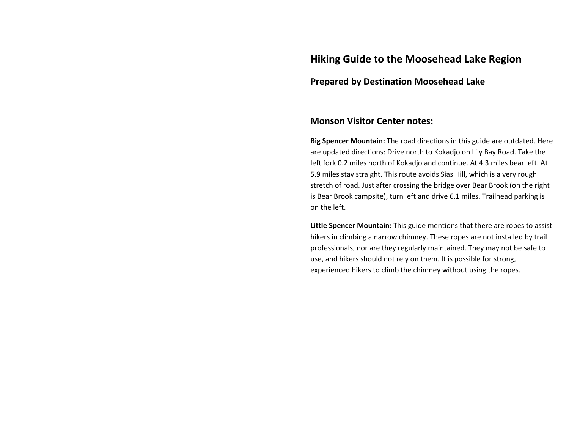## **Hiking Guide to the Moosehead Lake Region**

## **Prepared by Destination Moosehead Lake**

### **Monson Visitor Center notes:**

**Big Spencer Mountain:** The road directions in this guide are outdated. Here are updated directions: Drive north to Kokadjo on Lily Bay Road. Take the left fork 0.2 miles north of Kokadjo and continue. At 4.3 miles bear left. At 5.9 miles stay straight. This route avoids Sias Hill, which is a very rough stretch of road. Just after crossing the bridge over Bear Brook (on the right is Bear Brook campsite), turn left and drive 6.1 miles. Trailhead parking is on the left.

**Little Spencer Mountain:** This guide mentions that there are ropes to assist hikers in climbing a narrow chimney. These ropes are not installed by trail professionals, nor are they regularly maintained. They may not be safe to use, and hikers should not rely on them. It is possible for strong, experienced hikers to climb the chimney without using the ropes.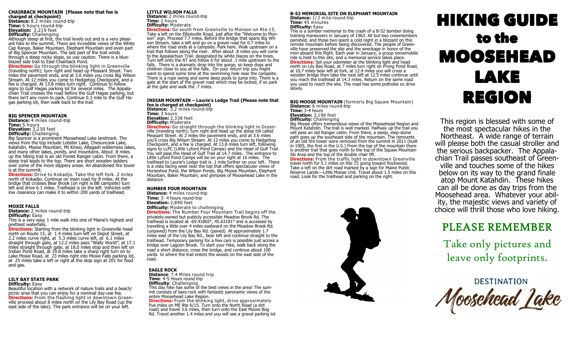### **CHAIRBACK MOUNTAIN (Please note that fee is charged at checkpoint)**

**Distance:** 8.2 miles round-trip **Time:** 6 hours round-trip **Elevation:** 2,219 feet **Difficulty:** Challenging Although steep at first, the trail levels out and is a very pleasant hike to the summit. There are incredible views of the White Cap Range, Baker Mountain, Elephant Mountain and even part of Big Spencer Mountain. The last part of the trail winds through a steep rocky slope, so use caution. There is a blueblazed side trail to East Chairback Pond.

**Directions:** Go through the blinking light in Greenville (traveling north); turn right and head up Pleasant Street. Two miles the pavement ends, and at 3.6 miles you cross Big Wilson Stream. At 12 miles you come to Hedgehog Checkpoint, and a fee is charged. At 13.8 miles turn right. Continue to follow signs to Gulf Hagas parking lot for several miles. The Appalachian Trail crosses the road before the Gulf Hagas parking, but there isn't any room to park. Continue 0.3 mile to the Gulf Hagas parking lot, then walk back to the trail.

### **BIG SPENCER MOUNTAIN**

**Distance:** 4 miles round-trip **Time:** 5 hours **Elevation:** 3,230 feet

**Difficulty:** Challenging

Big Spencer is a prominent Moosehead Lake landmark. The views from the top include Lobster Lake, Chesuncook Lake, Katahdin, Moose Mountain, Mt Kineo, Allagash wilderness lakes, and many other lakes, ponds, and mountains. About .8 miles up the hiking trail is an old Forest Ranger cabin. From there, a steep trail leads to the top. There are short wooden ladders over some of the more slippery areas. An abandoned fire tower is at the summit.

**Directions:** Drive to Kokadjo. Take the left fork .2 miles north of Kokadjo. Continue on main road for 8 miles. At the bridge that crosses Bear Brook (on right is BB campsite) turn left and drive 6.1 miles. Trailhead is on the left. Vehicles with low clearance can make it to within 200 yards of trailhead.

### **MOXIE FALLS**

**Distance:** 2 miles round-trip **Difficulty:** Easy

This is a very easy 1 mile walk into one of Maine's highest and prettiest waterfalls.

**Directions:** Starting from the blinking light in Greenville head north on Route 15, at 1.4 miles turn left on Depot Street, at 2.2 miles curve right, at 5.3 miles curve left, at 6.1 miles straight through gate, at 12.2 miles pass "Wally World", at 17.1 miles straight through gate, at 18.0 miles stop and then left on Indian Pond Road, at 19.8 miles take a sharp right turn on to Lake Moxie Road, at 23 miles right into Moxie Falls parking lot, at 25 miles take a left or right at the stop sign at 201 for food and gas.

### **LILY BAY STATE PARK Difficulty:** Easy

Beautiful location with a network of nature trails and a beach/ picnic area that you can enjoy for a nominal day-use fee. **Directions:** From the flashing light in downtown Greenville proceed about 8 miles north on the Lily Bay Road (up the east side of the lake). The park entrance will be on your left.

### **LITTLE WILSON FALLS**

**Distance:** 2 miles round-trip **Time:** 2 hours **Difficulty:** Moderate **Directions:** Go south from Greenville to Monson on Rte 15.

Take a left on the Elliotsville Road, just after the "Welcome to Monson" sign. Proceed 7.7 miles. Before the bridge that spans Big Wilson Stream, take a left and go on a gravel road for 0.7 miles to where the road ends at a campsite. Park here. Walk upstream on a trail that follows along the river. After about .8 miles you will come to the Appalachian Trail, designated by white blazes on the trees. Turn left onto the AT and follow it for about .1 mile upstream to the falls. There is a dramatic drop into the gorge, so keep dogs and children close to you at the falls. On your return trip you might want to spend some time at the swimming hole near the campsite. There is a rope swing and some deep pools to jump into. There is a gate at the start of the gravel road which may be locked, if so park at the gate and walk the .7 miles.

### **INDIAN MOUNTAIN – Laurie's Ledge Trail (Please note that fee is charged at checkpoint) Distance:** 3.2 miles round-trip

**Time:** 3 hours **Elevation:** 2,338 feet **Difficulty:** Moderate

**Directions:** Go straight through the blinking light in Greenville (traveling north); turn right and head up the steep hill called Pleasant Street. At 2 miles the pavement ends, and at 3.6 miles you'll cross Big Wilson Stream. At 12 miles you come to Hedgehog Checkpoint, and a fee is charged. At 13.8 miles turn left, following signs to LLPC (Little Lyford Pond Camps) and the Head of Gulf Trail. You will pass the Head of Gulf Trail at 14.7 miles. The entrance to Little Lyford Pond Camps will be on your right at 16 miles. The trailhead to Laurie's Ledge trail is .1 mile further on your left. There is a vista facing west near the top that offers spectacular views of Horseshoe Pond, the Wilson Ponds, Big Moose Mountain, Elephant Mountain, Baker Mountain, and glimpses of Moosehead Lake in the distance.

### **NUMBER FOUR MOUNTAIN**

**Distance:** 4 miles round-trip **Time:** 3- 4 hours round-trip **Elevation:** 2,890 feet **Difficulty: Moderate to challenging** 

**Directions:** The Number Four Mountain Trail begins off the privately-owned but publicly accessible Meadow Brook Rd. The trailhead is located at -69.41865°, 45.63181° and is accessed by travelling a little over 4 miles eastward on the Meadow Brook Rd. (unpaved) from the Lily Bay Rd. (paved). At approximately 1.7 miles east of the Lily Bay Rd., bear left and continue straight to the trailhead. Temporary parking for a few cars is possible just across a bridge over Lagoon Brook. To start your hike, walk back along the road a short distance, cross the bridge, and continue about 100 yards to where the trail enters the woods on the east side of the road.

### **EAGLE ROCK**

**Distance**: 7.4 Miles round trip **Time**: 4-5 Hours round trip **Difficulty**: Challenging This day hike has some of the best views in the area! The summit consists of bare rock with fantastic panoramic views of the entire Moosehead Lake Region.

**Directions:** From the blinking light, drive approximately five miles on ME Rte 6/15. Turn onto the North Road (a dirt road) and travel 3.6 miles, then turn onto the East Moore Bog Rd. Travel another 1.4 miles and you will see a gravel parking lot **B-52 MEMORIAL SITE ON ELEPHANT MOUNTAIN Distance:** 1/ 2 mile round-trip **Time:** 45 minutes **Difficulty:** Easy

This is a somber memorial to the crash of a B-52 bomber doing training maneuvers in January of 1963. All but two crewmembers perished, and those two spent a cold night in a blizzard on this remote mountain before being discovered. The people of Greenville have preserved the site and the wreckage in honor of the men aboard this flight. Each year in January, a group snowmobile ride is held to this site, and a memorial service takes place. **Directions:** Set your odometer at the blinking light and head north on Lily Bay Road, at 7 miles turn right on Prong Pond Road, at 10.7 miles bear left at fork, at 12.4 miles you will cross a wooden bridge then take the next left at 12.5 miles continue until you reach the trailhead at 14.3 miles. Return on the same road you used to reach the site. The road has some potholes so drive slowly.

**BIG MOOSE MOUNTAIN** (formerly Big Squaw Mountain) **Distance:** 6 miles round-trip **Time:** 3-4 hours

**Elevation:** 3,196 feet **Difficulty:** Challenging

Big Moose offers tremendous views of the Moosehead Region and Mount Katahdin. The trail is well marked. Halfway up the trail you will pass an old Ranger cabin. From there, a steep, step-stone path goes up the southeast side of the mountain. The remnants of an old fire tower were removed from the summit in 2011 (built

in 1905, the first in the U.S.) From the top of the mountain there is another trail that goes north to the top of the Squaw Mountain Ski Area and the top of the double chair lift.

**Directions:** From the traffic light in downtown Greenville travel north for 5.1 miles on Rte 15 going toward Rockwood. Take a left on the dirt road marked by a sign for Maine Public Reserve Lands---Little Moose Unit. Travel about 1.5 miles on this road. Look for the trailhead and parking on the right.



# HIKING GUIDE to the MOOSEHEAD LAKE REGION

This region is blessed with some of the most spectacular hikes in the Northeast. A wide range of terrain will please both the casual stroller and the serious backpacker. The Appalachian Trail passes southeast of Greenville and touches some of the hikes below on its way to the grand finale atop Mount Katahdin. These hikes can all be done as day trips from the Moosehead area. Whatever your ability, the majestic views and variety of choice will thrill those who love hiking.

## PLEASE REMEMBER

Take only pictures and leave only footprints.